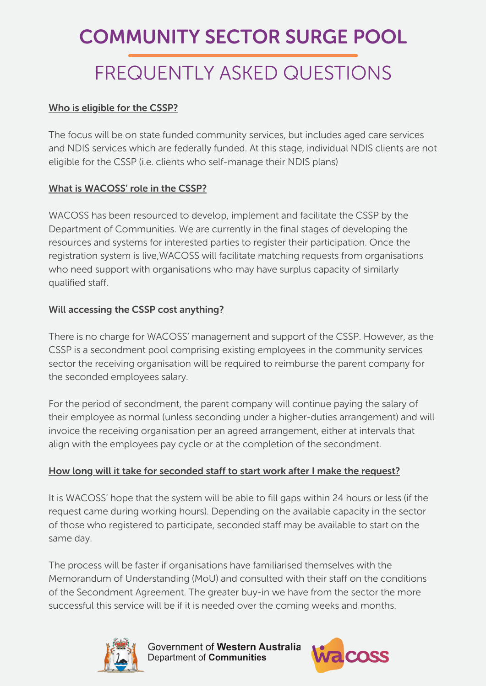## COMMUNITY SECTOR SURGE POOL

# FREQUENTLY ASKED QUESTIONS

### Who is eligible for the CSSP?

The focus will be on state funded community services, but includes aged care services and NDIS services which are federally funded. At this stage, individual NDIS clients are not eligible for the CSSP (i.e. clients who self-manage their NDIS plans)

### What is WACOSS' role in the CSSP?

WACOSS has been resourced to develop, implement and facilitate the CSSP by the Department of Communities. We are currently in the final stages of developing the resources and systems for interested parties to register their participation. Once the registration system is live,WACOSS will facilitate matching requests from organisations who need support with organisations who may have surplus capacity of similarly qualified staff.

### Will accessing the CSSP cost anything?

There is no charge for WACOSS' management and support of the CSSP. However, as the CSSP is a secondment pool comprising existing employees in the community services sector the receiving organisation will be required to reimburse the parent company for the seconded employees salary.

For the period of secondment, the parent company will continue paying the salary of their employee as normal (unless seconding under a higher-duties arrangement) and will invoice the receiving organisation per an agreed arrangement, either at intervals that align with the employees pay cycle or at the completion of the secondment.

### How long will it take for seconded staff to start work after I make the request?

It is WACOSS' hope that the system will be able to fill gaps within 24 hours or less (if the request came during working hours). Depending on the available capacity in the sector of those who registered to participate, seconded staff may be available to start on the same day.

The process will be faster if organisations have familiarised themselves with the Memorandum of Understanding (MoU) and consulted with their staff on the conditions of the Secondment Agreement. The greater buy-in we have from the sector the more successful this service will be if it is needed over the coming weeks and months.



Government of Western Australia Department of Communities